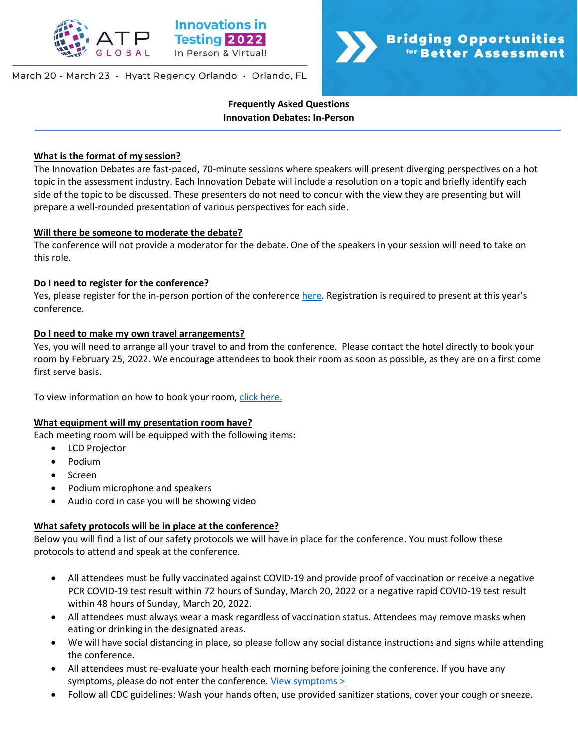

### March 20 - March 23 · Hyatt Regency Orlando · Orlando, FL



**Frequently Asked Questions Innovation Debates: In-Person**

### **What is the format of my session?**

The Innovation Debates are fast-paced, 70-minute sessions where speakers will present diverging perspectives on a hot topic in the assessment industry. Each Innovation Debate will include a resolution on a topic and briefly identify each side of the topic to be discussed. These presenters do not need to concur with the view they are presenting but will prepare a well-rounded presentation of various perspectives for each side.

### **Will there be someone to moderate the debate?**

The conference will not provide a moderator for the debate. One of the speakers in your session will need to take on this role.

### **Do I need to register for the conference?**

Yes, please register for the in-person portion of the conference [here](https://na.eventscloud.com/ereg/index.php?eventid=639135&). Registration is required to present at this year's conference.

### **Do I need to make my own travel arrangements?**

Yes, you will need to arrange all your travel to and from the conference. Please contact the hotel directly to book your room by February 25, 2022. We encourage attendees to book their room as soon as possible, as they are on a first come first serve basis.

To view information on how to book your room, [click here.](http://www.innovationsintesting.org/venue.aspx)

### **What equipment will my presentation room have?**

Each meeting room will be equipped with the following items:

- LCD Projector
- Podium
- Screen
- Podium microphone and speakers
- Audio cord in case you will be showing video

### **What safety protocols will be in place at the conference?**

Below you will find a list of our safety protocols we will have in place for the conference. You must follow these protocols to attend and speak at the conference.

- All attendees must be fully vaccinated against COVID-19 and provide proof of vaccination or receive a negative PCR COVID-19 test result within 72 hours of Sunday, March 20, 2022 or a negative rapid COVID-19 test result within 48 hours of Sunday, March 20, 2022.
- All attendees must always wear a mask regardless of vaccination status. Attendees may remove masks when eating or drinking in the designated areas.
- We will have social distancing in place, so please follow any social distance instructions and signs while attending the conference.
- All attendees must re-evaluate your health each morning before joining the conference. If you have any symptoms, please do not enter the conference. [View symptoms >](https://www.cdc.gov/coronavirus/2019-ncov/symptoms-testing/symptoms.html)
- Follow all CDC guidelines: Wash your hands often, use provided sanitizer stations, cover your cough or sneeze.